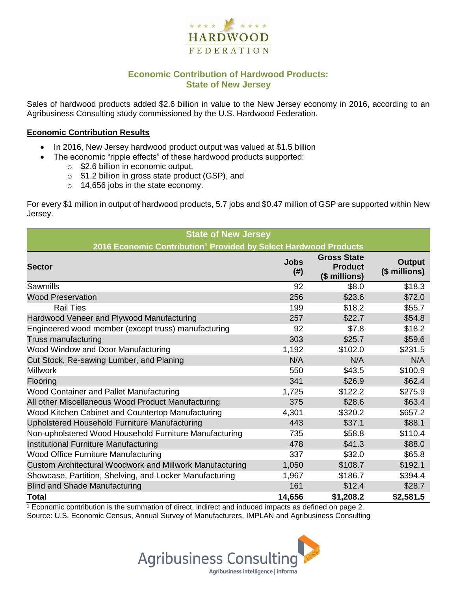

## **Economic Contribution of Hardwood Products: State of New Jersey**

Sales of hardwood products added \$2.6 billion in value to the New Jersey economy in 2016, according to an Agribusiness Consulting study commissioned by the U.S. Hardwood Federation.

#### **Economic Contribution Results**

- In 2016, New Jersey hardwood product output was valued at \$1.5 billion
	- The economic "ripple effects" of these hardwood products supported:
		- o \$2.6 billion in economic output,
		- o \$1.2 billion in gross state product (GSP), and
		- o 14,656 jobs in the state economy.

For every \$1 million in output of hardwood products, 5.7 jobs and \$0.47 million of GSP are supported within New Jersey.

| <b>State of New Jersey</b>                                                   |                     |                                                       |                         |  |  |  |
|------------------------------------------------------------------------------|---------------------|-------------------------------------------------------|-------------------------|--|--|--|
| 2016 Economic Contribution <sup>1</sup> Provided by Select Hardwood Products |                     |                                                       |                         |  |  |  |
| <b>Sector</b>                                                                | <b>Jobs</b><br>(# ) | <b>Gross State</b><br><b>Product</b><br>(\$ millions) | Output<br>(\$ millions) |  |  |  |
| <b>Sawmills</b>                                                              | 92                  | \$8.0                                                 | \$18.3                  |  |  |  |
| <b>Wood Preservation</b>                                                     | 256                 | \$23.6                                                | \$72.0                  |  |  |  |
| <b>Rail Ties</b>                                                             | 199                 | \$18.2                                                | \$55.7                  |  |  |  |
| Hardwood Veneer and Plywood Manufacturing                                    | 257                 | \$22.7                                                | \$54.8                  |  |  |  |
| Engineered wood member (except truss) manufacturing                          | 92                  | \$7.8                                                 | \$18.2                  |  |  |  |
| Truss manufacturing                                                          | 303                 | \$25.7                                                | \$59.6                  |  |  |  |
| Wood Window and Door Manufacturing                                           | 1,192               | \$102.0                                               | \$231.5                 |  |  |  |
| Cut Stock, Re-sawing Lumber, and Planing                                     | N/A                 | N/A                                                   | N/A                     |  |  |  |
| <b>Millwork</b>                                                              | 550                 | \$43.5                                                | \$100.9                 |  |  |  |
| Flooring                                                                     | 341                 | \$26.9                                                | \$62.4                  |  |  |  |
| <b>Wood Container and Pallet Manufacturing</b>                               | 1,725               | \$122.2                                               | \$275.9                 |  |  |  |
| All other Miscellaneous Wood Product Manufacturing                           | 375                 | \$28.6                                                | \$63.4                  |  |  |  |
| Wood Kitchen Cabinet and Countertop Manufacturing                            | 4,301               | \$320.2                                               | \$657.2                 |  |  |  |
| Upholstered Household Furniture Manufacturing                                | 443                 | \$37.1                                                | \$88.1                  |  |  |  |
| Non-upholstered Wood Household Furniture Manufacturing                       | 735                 | \$58.8                                                | \$110.4                 |  |  |  |
| Institutional Furniture Manufacturing                                        | 478                 | \$41.3                                                | \$88.0                  |  |  |  |
| Wood Office Furniture Manufacturing                                          | 337                 | \$32.0                                                | \$65.8                  |  |  |  |
| Custom Architectural Woodwork and Millwork Manufacturing                     | 1,050               | \$108.7                                               | \$192.1                 |  |  |  |
| Showcase, Partition, Shelving, and Locker Manufacturing                      | 1,967               | \$186.7                                               | \$394.4                 |  |  |  |
| <b>Blind and Shade Manufacturing</b>                                         | 161                 | \$12.4                                                | \$28.7                  |  |  |  |
| <b>Total</b>                                                                 | 14,656              | \$1,208.2                                             | \$2,581.5               |  |  |  |

 $1$  Economic contribution is the summation of direct, indirect and induced impacts as defined on page 2. Source: U.S. Economic Census, Annual Survey of Manufacturers, IMPLAN and Agribusiness Consulting